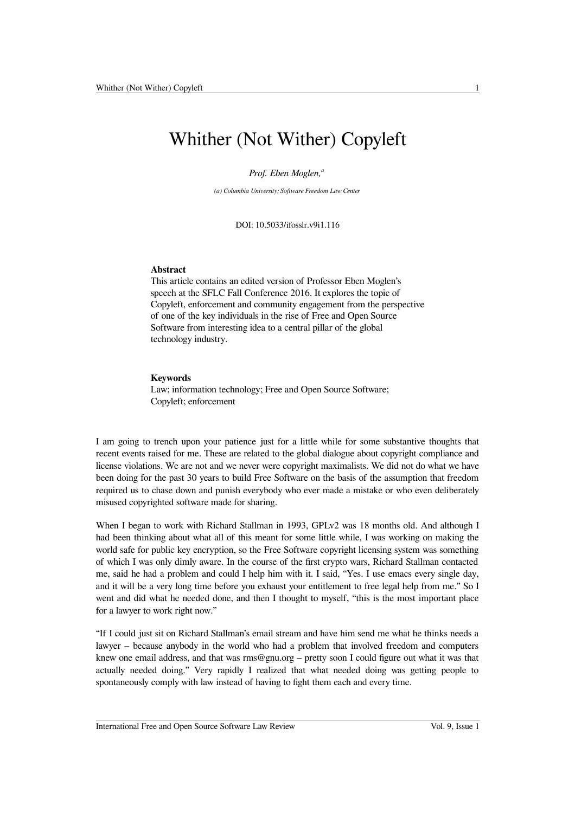# Whither (Not Wither) Copyleft

*Prof. Eben Moglen,<sup>a</sup>*

*(a) Columbia University; Software Freedom Law Center*

DOI: 10.5033/ifosslr.v9i1.116

### **Abstract**

This article contains an edited version of Professor Eben Moglen's speech at the SFLC Fall Conference 2016. It explores the topic of Copyleft, enforcement and community engagement from the perspective of one of the key individuals in the rise of Free and Open Source Software from interesting idea to a central pillar of the global technology industry.

#### **Keywords**

Law; information technology; Free and Open Source Software; Copyleft; enforcement

I am going to trench upon your patience just for a little while for some substantive thoughts that recent events raised for me. These are related to the global dialogue about copyright compliance and license violations. We are not and we never were copyright maximalists. We did not do what we have been doing for the past 30 years to build Free Software on the basis of the assumption that freedom required us to chase down and punish everybody who ever made a mistake or who even deliberately misused copyrighted software made for sharing.

When I began to work with Richard Stallman in 1993, GPLv2 was 18 months old. And although I had been thinking about what all of this meant for some little while, I was working on making the world safe for public key encryption, so the Free Software copyright licensing system was something of which I was only dimly aware. In the course of the first crypto wars, Richard Stallman contacted me, said he had a problem and could I help him with it. I said, "Yes. I use emacs every single day, and it will be a very long time before you exhaust your entitlement to free legal help from me." So I went and did what he needed done, and then I thought to myself, "this is the most important place for a lawyer to work right now."

"If I could just sit on Richard Stallman's email stream and have him send me what he thinks needs a lawyer – because anybody in the world who had a problem that involved freedom and computers knew one email address, and that was rms@gnu.org – pretty soon I could figure out what it was that actually needed doing." Very rapidly I realized that what needed doing was getting people to spontaneously comply with law instead of having to fight them each and every time.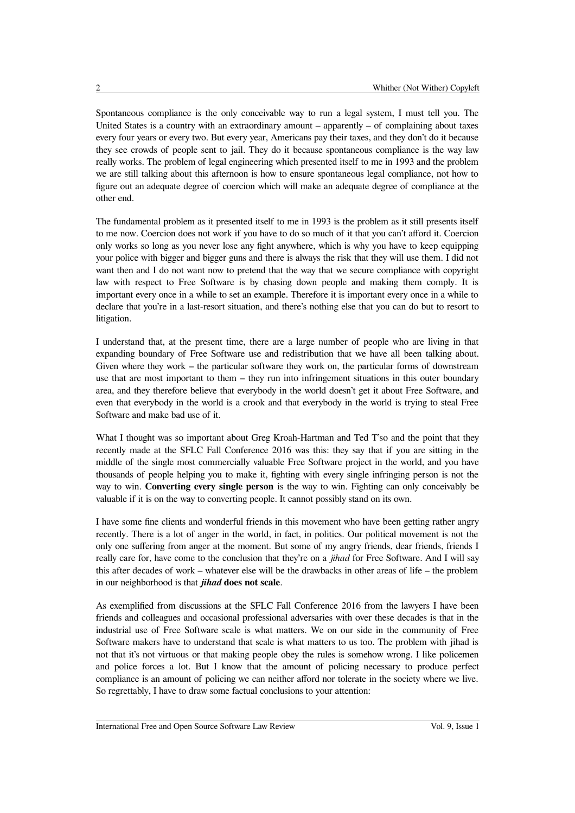Spontaneous compliance is the only conceivable way to run a legal system, I must tell you. The United States is a country with an extraordinary amount – apparently – of complaining about taxes every four years or every two. But every year, Americans pay their taxes, and they don't do it because they see crowds of people sent to jail. They do it because spontaneous compliance is the way law really works. The problem of legal engineering which presented itself to me in 1993 and the problem we are still talking about this afternoon is how to ensure spontaneous legal compliance, not how to figure out an adequate degree of coercion which will make an adequate degree of compliance at the other end.

The fundamental problem as it presented itself to me in 1993 is the problem as it still presents itself to me now. Coercion does not work if you have to do so much of it that you can't afford it. Coercion only works so long as you never lose any fight anywhere, which is why you have to keep equipping your police with bigger and bigger guns and there is always the risk that they will use them. I did not want then and I do not want now to pretend that the way that we secure compliance with copyright law with respect to Free Software is by chasing down people and making them comply. It is important every once in a while to set an example. Therefore it is important every once in a while to declare that you're in a last-resort situation, and there's nothing else that you can do but to resort to litigation.

I understand that, at the present time, there are a large number of people who are living in that expanding boundary of Free Software use and redistribution that we have all been talking about. Given where they work – the particular software they work on, the particular forms of downstream use that are most important to them – they run into infringement situations in this outer boundary area, and they therefore believe that everybody in the world doesn't get it about Free Software, and even that everybody in the world is a crook and that everybody in the world is trying to steal Free Software and make bad use of it.

What I thought was so important about Greg Kroah-Hartman and Ted T'so and the point that they recently made at the SFLC Fall Conference 2016 was this: they say that if you are sitting in the middle of the single most commercially valuable Free Software project in the world, and you have thousands of people helping you to make it, fighting with every single infringing person is not the way to win. **Converting every single person** is the way to win. Fighting can only conceivably be valuable if it is on the way to converting people. It cannot possibly stand on its own.

I have some fine clients and wonderful friends in this movement who have been getting rather angry recently. There is a lot of anger in the world, in fact, in politics. Our political movement is not the only one suffering from anger at the moment. But some of my angry friends, dear friends, friends I really care for, have come to the conclusion that they're on a *jihad* for Free Software. And I will say this after decades of work – whatever else will be the drawbacks in other areas of life – the problem in our neighborhood is that *jihad* **does not scale**.

As exemplified from discussions at the SFLC Fall Conference 2016 from the lawyers I have been friends and colleagues and occasional professional adversaries with over these decades is that in the industrial use of Free Software scale is what matters. We on our side in the community of Free Software makers have to understand that scale is what matters to us too. The problem with jihad is not that it's not virtuous or that making people obey the rules is somehow wrong. I like policemen and police forces a lot. But I know that the amount of policing necessary to produce perfect compliance is an amount of policing we can neither afford nor tolerate in the society where we live. So regrettably, I have to draw some factual conclusions to your attention: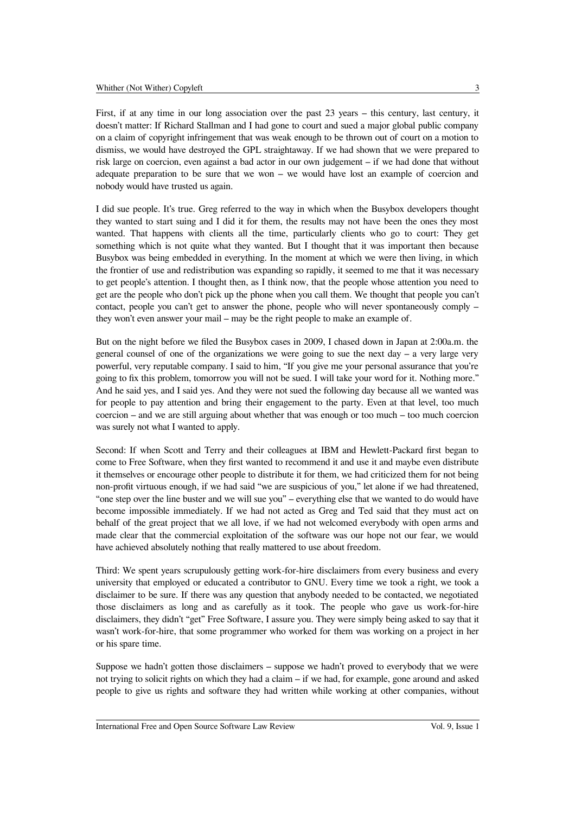First, if at any time in our long association over the past 23 years – this century, last century, it doesn't matter: If Richard Stallman and I had gone to court and sued a major global public company on a claim of copyright infringement that was weak enough to be thrown out of court on a motion to dismiss, we would have destroyed the GPL straightaway. If we had shown that we were prepared to risk large on coercion, even against a bad actor in our own judgement – if we had done that without adequate preparation to be sure that we won – we would have lost an example of coercion and nobody would have trusted us again.

I did sue people. It's true. Greg referred to the way in which when the Busybox developers thought they wanted to start suing and I did it for them, the results may not have been the ones they most wanted. That happens with clients all the time, particularly clients who go to court: They get something which is not quite what they wanted. But I thought that it was important then because Busybox was being embedded in everything. In the moment at which we were then living, in which the frontier of use and redistribution was expanding so rapidly, it seemed to me that it was necessary to get people's attention. I thought then, as I think now, that the people whose attention you need to get are the people who don't pick up the phone when you call them. We thought that people you can't contact, people you can't get to answer the phone, people who will never spontaneously comply – they won't even answer your mail – may be the right people to make an example of.

But on the night before we filed the Busybox cases in 2009, I chased down in Japan at 2:00a.m. the general counsel of one of the organizations we were going to sue the next day  $-$  a very large very powerful, very reputable company. I said to him, "If you give me your personal assurance that you're going to fix this problem, tomorrow you will not be sued. I will take your word for it. Nothing more." And he said yes, and I said yes. And they were not sued the following day because all we wanted was for people to pay attention and bring their engagement to the party. Even at that level, too much coercion – and we are still arguing about whether that was enough or too much – too much coercion was surely not what I wanted to apply.

Second: If when Scott and Terry and their colleagues at IBM and Hewlett-Packard first began to come to Free Software, when they first wanted to recommend it and use it and maybe even distribute it themselves or encourage other people to distribute it for them, we had criticized them for not being non-profit virtuous enough, if we had said "we are suspicious of you," let alone if we had threatened, "one step over the line buster and we will sue you" – everything else that we wanted to do would have become impossible immediately. If we had not acted as Greg and Ted said that they must act on behalf of the great project that we all love, if we had not welcomed everybody with open arms and made clear that the commercial exploitation of the software was our hope not our fear, we would have achieved absolutely nothing that really mattered to use about freedom.

Third: We spent years scrupulously getting work-for-hire disclaimers from every business and every university that employed or educated a contributor to GNU. Every time we took a right, we took a disclaimer to be sure. If there was any question that anybody needed to be contacted, we negotiated those disclaimers as long and as carefully as it took. The people who gave us work-for-hire disclaimers, they didn't "get" Free Software, I assure you. They were simply being asked to say that it wasn't work-for-hire, that some programmer who worked for them was working on a project in her or his spare time.

Suppose we hadn't gotten those disclaimers – suppose we hadn't proved to everybody that we were not trying to solicit rights on which they had a claim – if we had, for example, gone around and asked people to give us rights and software they had written while working at other companies, without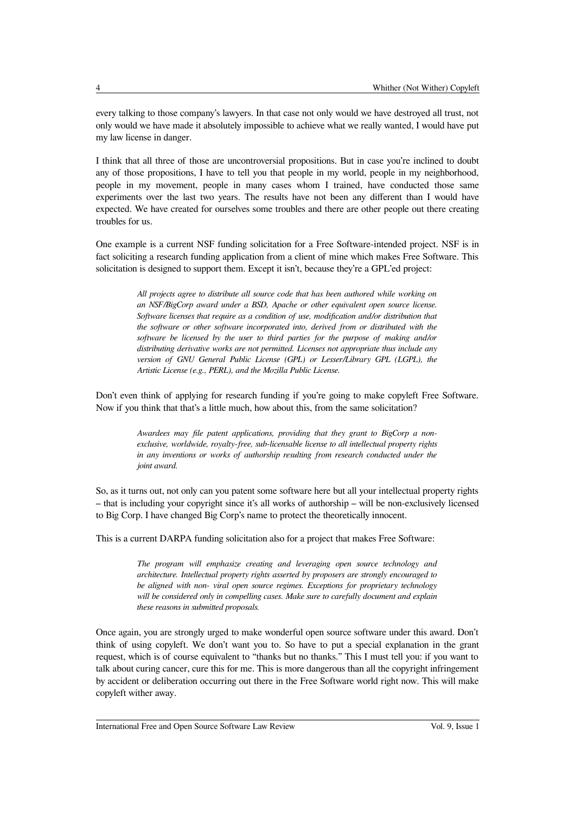every talking to those company's lawyers. In that case not only would we have destroyed all trust, not only would we have made it absolutely impossible to achieve what we really wanted, I would have put my law license in danger.

I think that all three of those are uncontroversial propositions. But in case you're inclined to doubt any of those propositions, I have to tell you that people in my world, people in my neighborhood, people in my movement, people in many cases whom I trained, have conducted those same experiments over the last two years. The results have not been any different than I would have expected. We have created for ourselves some troubles and there are other people out there creating troubles for us.

One example is a current NSF funding solicitation for a Free Software-intended project. NSF is in fact soliciting a research funding application from a client of mine which makes Free Software. This solicitation is designed to support them. Except it isn't, because they're a GPL'ed project:

> *All projects agree to distribute all source code that has been authored while working on an NSF/BigCorp award under a BSD, Apache or other equivalent open source license. Software licenses that require as a condition of use, modification and/or distribution that the software or other software incorporated into, derived from or distributed with the software be licensed by the user to third parties for the purpose of making and/or distributing derivative works are not permitted. Licenses not appropriate thus include any version of GNU General Public License (GPL) or Lesser/Library GPL (LGPL), the Artistic License (e.g., PERL), and the Mozilla Public License.*

Don't even think of applying for research funding if you're going to make copyleft Free Software. Now if you think that that's a little much, how about this, from the same solicitation?

> *Awardees may file patent applications, providing that they grant to BigCorp a nonexclusive, worldwide, royalty-free, sub-licensable license to all intellectual property rights in any inventions or works of authorship resulting from research conducted under the joint award.*

So, as it turns out, not only can you patent some software here but all your intellectual property rights – that is including your copyright since it's all works of authorship – will be non-exclusively licensed to Big Corp. I have changed Big Corp's name to protect the theoretically innocent.

This is a current DARPA funding solicitation also for a project that makes Free Software:

*The program will emphasize creating and leveraging open source technology and architecture. Intellectual property rights asserted by proposers are strongly encouraged to be aligned with non- viral open source regimes. Exceptions for proprietary technology will be considered only in compelling cases. Make sure to carefully document and explain these reasons in submitted proposals.*

Once again, you are strongly urged to make wonderful open source software under this award. Don't think of using copyleft. We don't want you to. So have to put a special explanation in the grant request, which is of course equivalent to "thanks but no thanks." This I must tell you: if you want to talk about curing cancer, cure this for me. This is more dangerous than all the copyright infringement by accident or deliberation occurring out there in the Free Software world right now. This will make copyleft wither away.

International Free and Open Source Software Law Review Vol. 9, Issue 1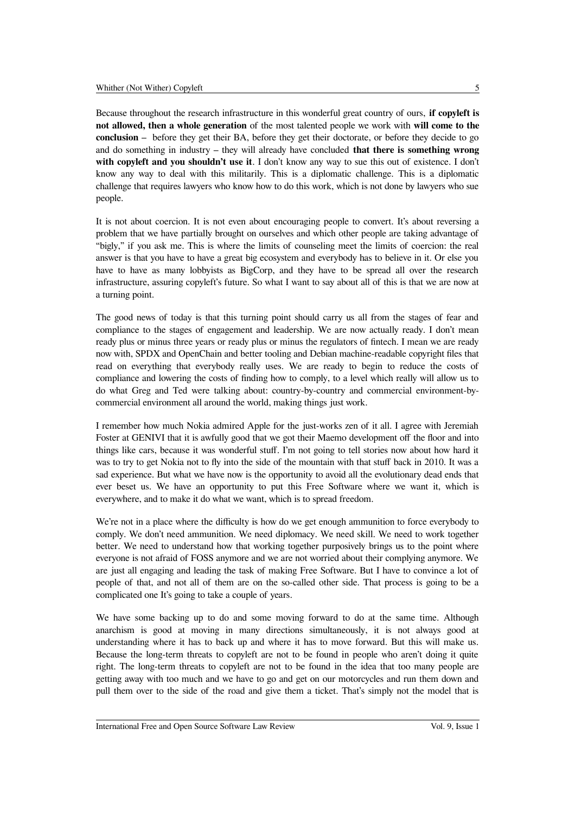Because throughout the research infrastructure in this wonderful great country of ours, **if copyleft is not allowed, then a whole generation** of the most talented people we work with **will come to the conclusion** – before they get their BA, before they get their doctorate, or before they decide to go and do something in industry – they will already have concluded **that there is something wrong with copyleft and you shouldn't use it**. I don't know any way to sue this out of existence. I don't know any way to deal with this militarily. This is a diplomatic challenge. This is a diplomatic challenge that requires lawyers who know how to do this work, which is not done by lawyers who sue people.

It is not about coercion. It is not even about encouraging people to convert. It's about reversing a problem that we have partially brought on ourselves and which other people are taking advantage of "bigly," if you ask me. This is where the limits of counseling meet the limits of coercion: the real answer is that you have to have a great big ecosystem and everybody has to believe in it. Or else you have to have as many lobbyists as BigCorp, and they have to be spread all over the research infrastructure, assuring copyleft's future. So what I want to say about all of this is that we are now at a turning point.

The good news of today is that this turning point should carry us all from the stages of fear and compliance to the stages of engagement and leadership. We are now actually ready. I don't mean ready plus or minus three years or ready plus or minus the regulators of fintech. I mean we are ready now with, SPDX and OpenChain and better tooling and Debian machine-readable copyright files that read on everything that everybody really uses. We are ready to begin to reduce the costs of compliance and lowering the costs of finding how to comply, to a level which really will allow us to do what Greg and Ted were talking about: country-by-country and commercial environment-bycommercial environment all around the world, making things just work.

I remember how much Nokia admired Apple for the just-works zen of it all. I agree with Jeremiah Foster at GENIVI that it is awfully good that we got their Maemo development off the floor and into things like cars, because it was wonderful stuff. I'm not going to tell stories now about how hard it was to try to get Nokia not to fly into the side of the mountain with that stuff back in 2010. It was a sad experience. But what we have now is the opportunity to avoid all the evolutionary dead ends that ever beset us. We have an opportunity to put this Free Software where we want it, which is everywhere, and to make it do what we want, which is to spread freedom.

We're not in a place where the difficulty is how do we get enough ammunition to force everybody to comply. We don't need ammunition. We need diplomacy. We need skill. We need to work together better. We need to understand how that working together purposively brings us to the point where everyone is not afraid of FOSS anymore and we are not worried about their complying anymore. We are just all engaging and leading the task of making Free Software. But I have to convince a lot of people of that, and not all of them are on the so-called other side. That process is going to be a complicated one It's going to take a couple of years.

We have some backing up to do and some moving forward to do at the same time. Although anarchism is good at moving in many directions simultaneously, it is not always good at understanding where it has to back up and where it has to move forward. But this will make us. Because the long-term threats to copyleft are not to be found in people who aren't doing it quite right. The long-term threats to copyleft are not to be found in the idea that too many people are getting away with too much and we have to go and get on our motorcycles and run them down and pull them over to the side of the road and give them a ticket. That's simply not the model that is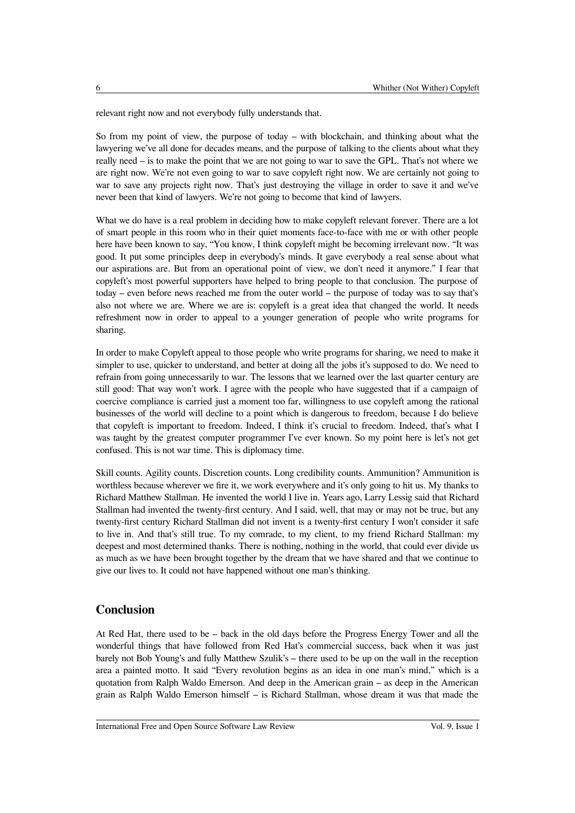relevant right now and not everybody fully understands that.

So from my point of view, the purpose of today – with blockchain, and thinking about what the lawyering we've all done for decades means, and the purpose of talking to the clients about what they really need – is to make the point that we are not going to war to save the GPL. That's not where we are right now. We're not even going to war to save copyleft right now. We are certainly not going to war to save any projects right now. That's just destroying the village in order to save it and we've never been that kind of lawyers. We're not going to become that kind of lawyers.

What we do have is a real problem in deciding how to make copyleft relevant forever. There are a lot of smart people in this room who in their quiet moments face-to-face with me or with other people here have been known to say, "You know, I think copyleft might be becoming irrelevant now. "It was good. It put some principles deep in everybody's minds. It gave everybody a real sense about what our aspirations are. But from an operational point of view, we don't need it anymore." I fear that copyleft's most powerful supporters have helped to bring people to that conclusion. The purpose of today – even before news reached me from the outer world – the purpose of today was to say that's also not where we are. Where we are is: copyleft is a great idea that changed the world. It needs refreshment now in order to appeal to a younger generation of people who write programs for sharing.

In order to make Copyleft appeal to those people who write programs for sharing, we need to make it simpler to use, quicker to understand, and better at doing all the jobs it's supposed to do. We need to refrain from going unnecessarily to war. The lessons that we learned over the last quarter century are still good: That way won't work. I agree with the people who have suggested that if a campaign of coercive compliance is carried just a moment too far, willingness to use copyleft among the rational businesses of the world will decline to a point which is dangerous to freedom, because I do believe that copyleft is important to freedom. Indeed, I think it's crucial to freedom. Indeed, that's what I was taught by the greatest computer programmer I've ever known. So my point here is let's not get confused. This is not war time. This is diplomacy time.

Skill counts. Agility counts. Discretion counts. Long credibility counts. Ammunition? Ammunition is worthless because wherever we fire it, we work everywhere and it's only going to hit us. My thanks to Richard Matthew Stallman. He invented the world I live in. Years ago, Larry Lessig said that Richard Stallman had invented the twenty-first century. And I said, well, that may or may not be true, but any twenty-first century Richard Stallman did not invent is a twenty-first century I won't consider it safe to live in. And that's still true. To my comrade, to my client, to my friend Richard Stallman: my deepest and most determined thanks. There is nothing, nothing in the world, that could ever divide us as much as we have been brought together by the dream that we have shared and that we continue to give our lives to. It could not have happened without one man's thinking.

## **Conclusion**

At Red Hat, there used to be – back in the old days before the Progress Energy Tower and all the wonderful things that have followed from Red Hat's commercial success, back when it was just barely not Bob Young's and fully Matthew Szulik's – there used to be up on the wall in the reception area a painted motto. It said "Every revolution begins as an idea in one man's mind," which is a quotation from Ralph Waldo Emerson. And deep in the American grain – as deep in the American grain as Ralph Waldo Emerson himself – is Richard Stallman, whose dream it was that made the

International Free and Open Source Software Law Review Vol. 9, Issue 1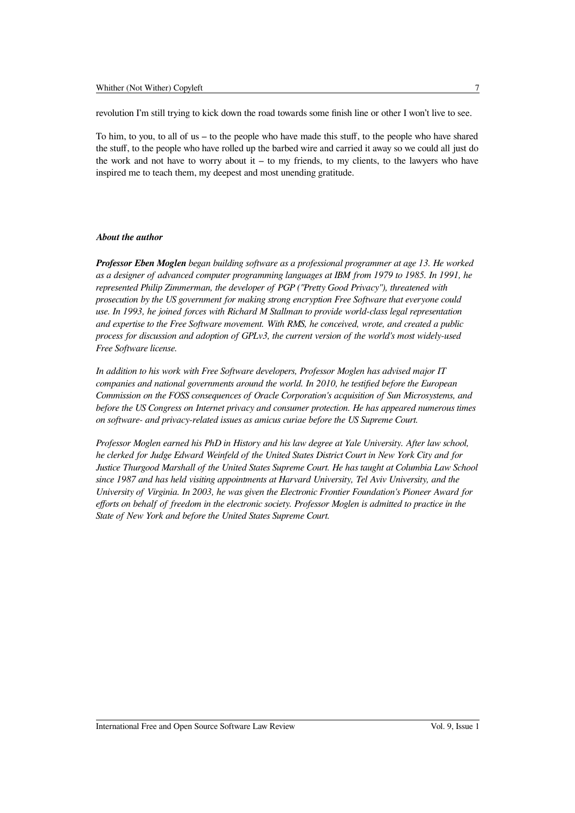revolution I'm still trying to kick down the road towards some finish line or other I won't live to see.

To him, to you, to all of us – to the people who have made this stuff, to the people who have shared the stuff, to the people who have rolled up the barbed wire and carried it away so we could all just do the work and not have to worry about  $it - to$  my friends, to my clients, to the lawyers who have inspired me to teach them, my deepest and most unending gratitude.

#### *About the author*

*Professor Eben Moglen began building software as a professional programmer at age 13. He worked as a designer of advanced computer programming languages at IBM from 1979 to 1985. In 1991, he represented Philip Zimmerman, the developer of PGP ("Pretty Good Privacy"), threatened with prosecution by the US government for making strong encryption Free Software that everyone could use. In 1993, he joined forces with Richard M Stallman to provide world-class legal representation and expertise to the Free Software movement. With RMS, he conceived, wrote, and created a public process for discussion and adoption of GPLv3, the current version of the world's most widely-used Free Software license.* 

*In addition to his work with Free Software developers, Professor Moglen has advised major IT companies and national governments around the world. In 2010, he testified before the European Commission on the FOSS consequences of Oracle Corporation's acquisition of Sun Microsystems, and before the US Congress on Internet privacy and consumer protection. He has appeared numerous times on software- and privacy-related issues as amicus curiae before the US Supreme Court.* 

*Professor Moglen earned his PhD in History and his law degree at Yale University. After law school, he clerked for Judge Edward Weinfeld of the United States District Court in New York City and for Justice Thurgood Marshall of the United States Supreme Court. He has taught at Columbia Law School since 1987 and has held visiting appointments at Harvard University, Tel Aviv University, and the University of Virginia. In 2003, he was given the Electronic Frontier Foundation's Pioneer Award for efforts on behalf of freedom in the electronic society. Professor Moglen is admitted to practice in the State of New York and before the United States Supreme Court.*